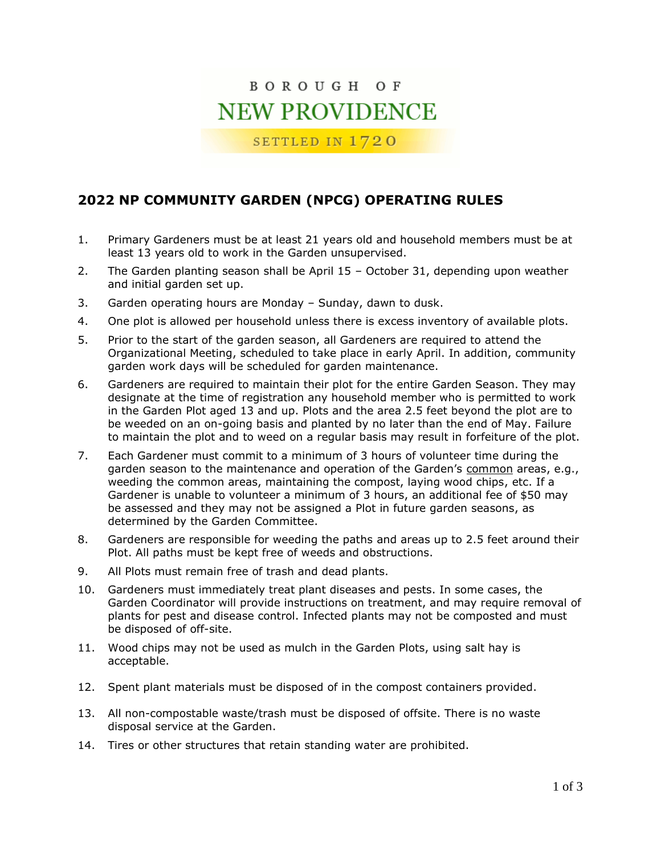## BOROUGH OF **NEW PROVIDENCE**

SETTLED IN 1720

## **2022 NP COMMUNITY GARDEN (NPCG) OPERATING RULES**

- 1. Primary Gardeners must be at least 21 years old and household members must be at least 13 years old to work in the Garden unsupervised.
- 2. The Garden planting season shall be April 15 October 31, depending upon weather and initial garden set up.
- 3. Garden operating hours are Monday Sunday, dawn to dusk.
- 4. One plot is allowed per household unless there is excess inventory of available plots.
- 5. Prior to the start of the garden season, all Gardeners are required to attend the Organizational Meeting, scheduled to take place in early April. In addition, community garden work days will be scheduled for garden maintenance.
- 6. Gardeners are required to maintain their plot for the entire Garden Season. They may designate at the time of registration any household member who is permitted to work in the Garden Plot aged 13 and up. Plots and the area 2.5 feet beyond the plot are to be weeded on an on-going basis and planted by no later than the end of May. Failure to maintain the plot and to weed on a regular basis may result in forfeiture of the plot.
- 7. Each Gardener must commit to a minimum of 3 hours of volunteer time during the garden season to the maintenance and operation of the Garden's common areas, e.g., weeding the common areas, maintaining the compost, laying wood chips, etc. If a Gardener is unable to volunteer a minimum of 3 hours, an additional fee of \$50 may be assessed and they may not be assigned a Plot in future garden seasons, as determined by the Garden Committee.
- 8. Gardeners are responsible for weeding the paths and areas up to 2.5 feet around their Plot. All paths must be kept free of weeds and obstructions.
- 9. All Plots must remain free of trash and dead plants.
- 10. Gardeners must immediately treat plant diseases and pests. In some cases, the Garden Coordinator will provide instructions on treatment, and may require removal of plants for pest and disease control. Infected plants may not be composted and must be disposed of off-site.
- 11. Wood chips may not be used as mulch in the Garden Plots, using salt hay is acceptable.
- 12. Spent plant materials must be disposed of in the compost containers provided.
- 13. All non-compostable waste/trash must be disposed of offsite. There is no waste disposal service at the Garden.
- 14. Tires or other structures that retain standing water are prohibited.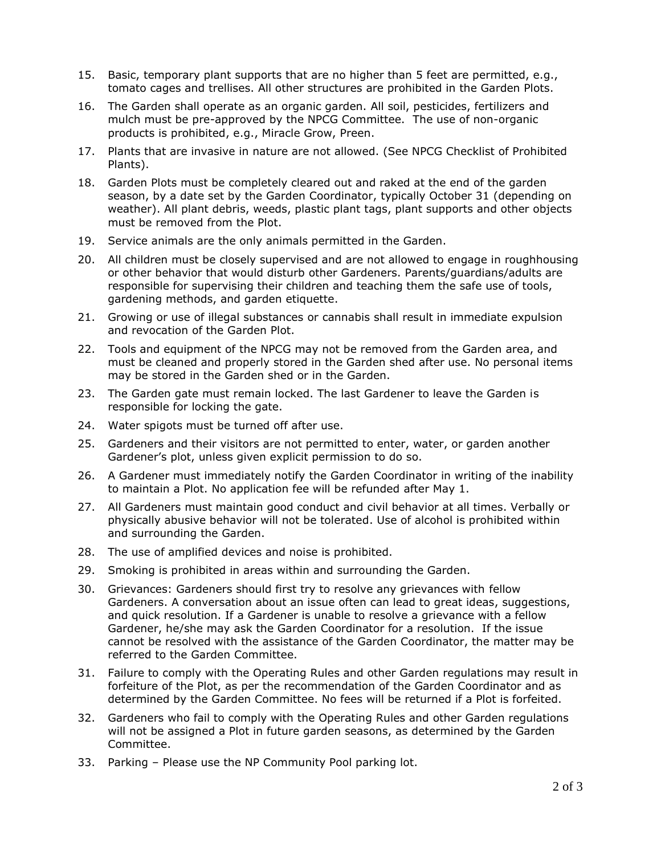- 15. Basic, temporary plant supports that are no higher than 5 feet are permitted, e.g., tomato cages and trellises. All other structures are prohibited in the Garden Plots.
- 16. The Garden shall operate as an organic garden. All soil, pesticides, fertilizers and mulch must be pre-approved by the NPCG Committee. The use of non-organic products is prohibited, e.g., Miracle Grow, Preen.
- 17. Plants that are invasive in nature are not allowed. (See NPCG Checklist of Prohibited Plants).
- 18. Garden Plots must be completely cleared out and raked at the end of the garden season, by a date set by the Garden Coordinator, typically October 31 (depending on weather). All plant debris, weeds, plastic plant tags, plant supports and other objects must be removed from the Plot.
- 19. Service animals are the only animals permitted in the Garden.
- 20. All children must be closely supervised and are not allowed to engage in roughhousing or other behavior that would disturb other Gardeners. Parents/guardians/adults are responsible for supervising their children and teaching them the safe use of tools, gardening methods, and garden etiquette.
- 21. Growing or use of illegal substances or cannabis shall result in immediate expulsion and revocation of the Garden Plot.
- 22. Tools and equipment of the NPCG may not be removed from the Garden area, and must be cleaned and properly stored in the Garden shed after use. No personal items may be stored in the Garden shed or in the Garden.
- 23. The Garden gate must remain locked. The last Gardener to leave the Garden is responsible for locking the gate.
- 24. Water spigots must be turned off after use.
- 25. Gardeners and their visitors are not permitted to enter, water, or garden another Gardener's plot, unless given explicit permission to do so.
- 26. A Gardener must immediately notify the Garden Coordinator in writing of the inability to maintain a Plot. No application fee will be refunded after May 1.
- 27. All Gardeners must maintain good conduct and civil behavior at all times. Verbally or physically abusive behavior will not be tolerated. Use of alcohol is prohibited within and surrounding the Garden.
- 28. The use of amplified devices and noise is prohibited.
- 29. Smoking is prohibited in areas within and surrounding the Garden.
- 30. Grievances: Gardeners should first try to resolve any grievances with fellow Gardeners. A conversation about an issue often can lead to great ideas, suggestions, and quick resolution. If a Gardener is unable to resolve a grievance with a fellow Gardener, he/she may ask the Garden Coordinator for a resolution. If the issue cannot be resolved with the assistance of the Garden Coordinator, the matter may be referred to the Garden Committee.
- 31. Failure to comply with the Operating Rules and other Garden regulations may result in forfeiture of the Plot, as per the recommendation of the Garden Coordinator and as determined by the Garden Committee. No fees will be returned if a Plot is forfeited.
- 32. Gardeners who fail to comply with the Operating Rules and other Garden regulations will not be assigned a Plot in future garden seasons, as determined by the Garden Committee.
- 33. Parking Please use the NP Community Pool parking lot.